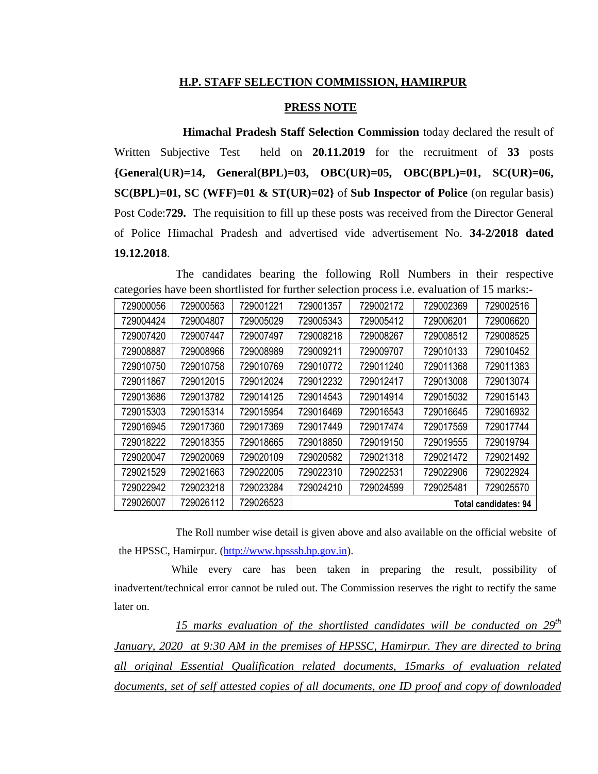## **H.P. STAFF SELECTION COMMISSION, HAMIRPUR**

## **PRESS NOTE**

**Himachal Pradesh Staff Selection Commission** today declared the result of Written Subjective Test held on **20.11.2019** for the recruitment of **33** posts **{General(UR)=14, General(BPL)=03, OBC(UR)=05, OBC(BPL)=01, SC(UR)=06, SC(BPL)=01, SC (WFF)=01 & ST(UR)=02}** of **Sub Inspector of Police** (on regular basis) Post Code:**729.** The requisition to fill up these posts was received from the Director General of Police Himachal Pradesh and advertised vide advertisement No. **34-2/2018 dated 19.12.2018**.

The candidates bearing the following Roll Numbers in their respective categories have been shortlisted for further selection process i.e. evaluation of 15 marks:-

| 729000056 | 729000563 | 729001221 | 729001357                   | 729002172 | 729002369 | 729002516 |
|-----------|-----------|-----------|-----------------------------|-----------|-----------|-----------|
| 729004424 | 729004807 | 729005029 | 729005343                   | 729005412 | 729006201 | 729006620 |
| 729007420 | 729007447 | 729007497 | 729008218                   | 729008267 | 729008512 | 729008525 |
| 729008887 | 729008966 | 729008989 | 729009211                   | 729009707 | 729010133 | 729010452 |
| 729010750 | 729010758 | 729010769 | 729010772                   | 729011240 | 729011368 | 729011383 |
| 729011867 | 729012015 | 729012024 | 729012232                   | 729012417 | 729013008 | 729013074 |
| 729013686 | 729013782 | 729014125 | 729014543                   | 729014914 | 729015032 | 729015143 |
| 729015303 | 729015314 | 729015954 | 729016469                   | 729016543 | 729016645 | 729016932 |
| 729016945 | 729017360 | 729017369 | 729017449                   | 729017474 | 729017559 | 729017744 |
| 729018222 | 729018355 | 729018665 | 729018850                   | 729019150 | 729019555 | 729019794 |
| 729020047 | 729020069 | 729020109 | 729020582                   | 729021318 | 729021472 | 729021492 |
| 729021529 | 729021663 | 729022005 | 729022310                   | 729022531 | 729022906 | 729022924 |
| 729022942 | 729023218 | 729023284 | 729024210                   | 729024599 | 729025481 | 729025570 |
| 729026007 | 729026112 | 729026523 | <b>Total candidates: 94</b> |           |           |           |

The Roll number wise detail is given above and also available on the official website of the HPSSC, Hamirpur. [\(http://www.hpsssb.hp.gov.in\)](http://www.hpsssb.hp.gov.in/).

While every care has been taken in preparing the result, possibility of inadvertent/technical error cannot be ruled out. The Commission reserves the right to rectify the same later on.

15 marks evaluation of the shortlisted candidates will be conducted on  $29^{th}$ *January, 2020 at 9:30 AM in the premises of HPSSC, Hamirpur. They are directed to bring all original Essential Qualification related documents, 15marks of evaluation related documents, set of self attested copies of all documents, one ID proof and copy of downloaded*